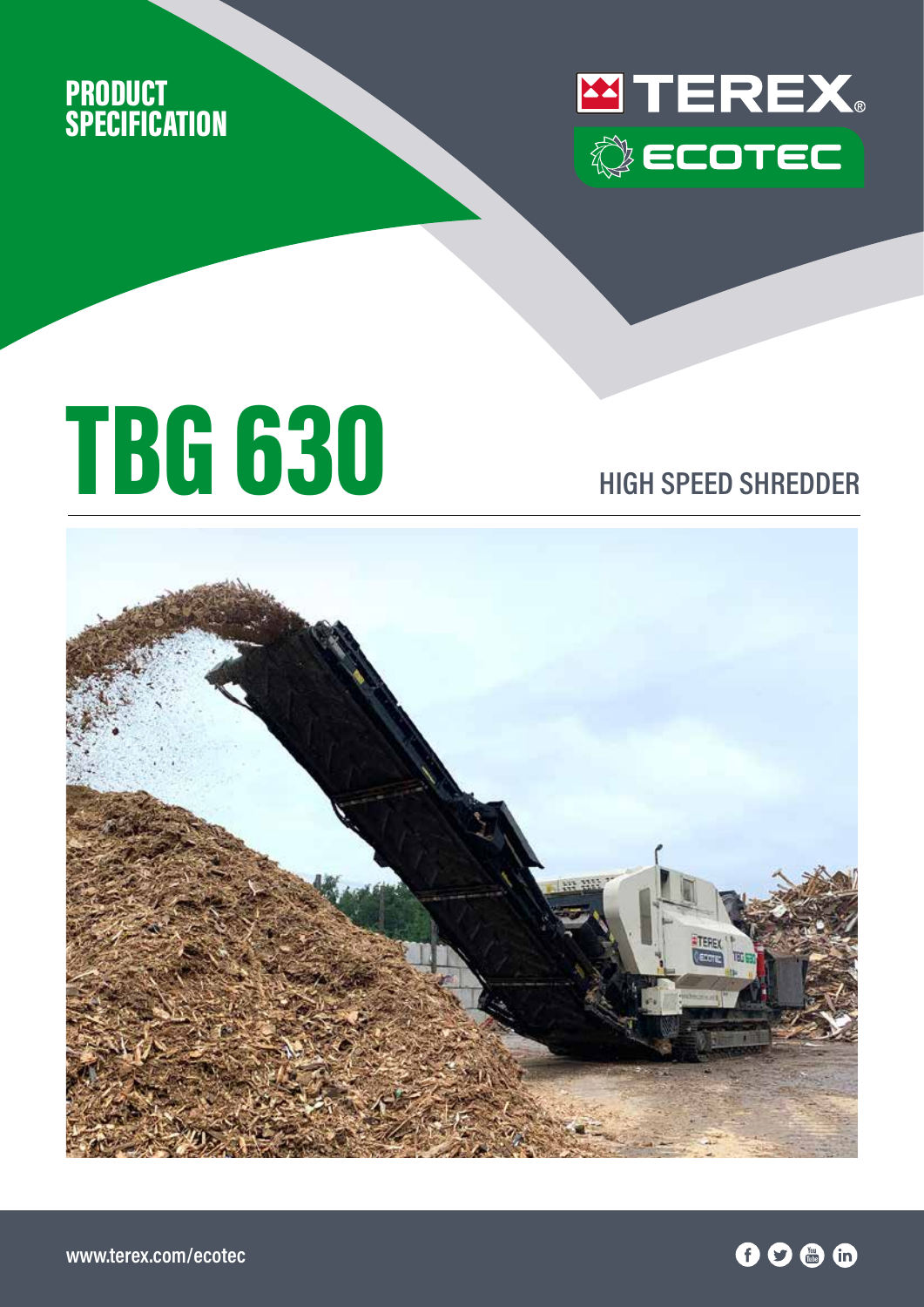



## TBG 630 **HIGH SPEED SHREDDER**

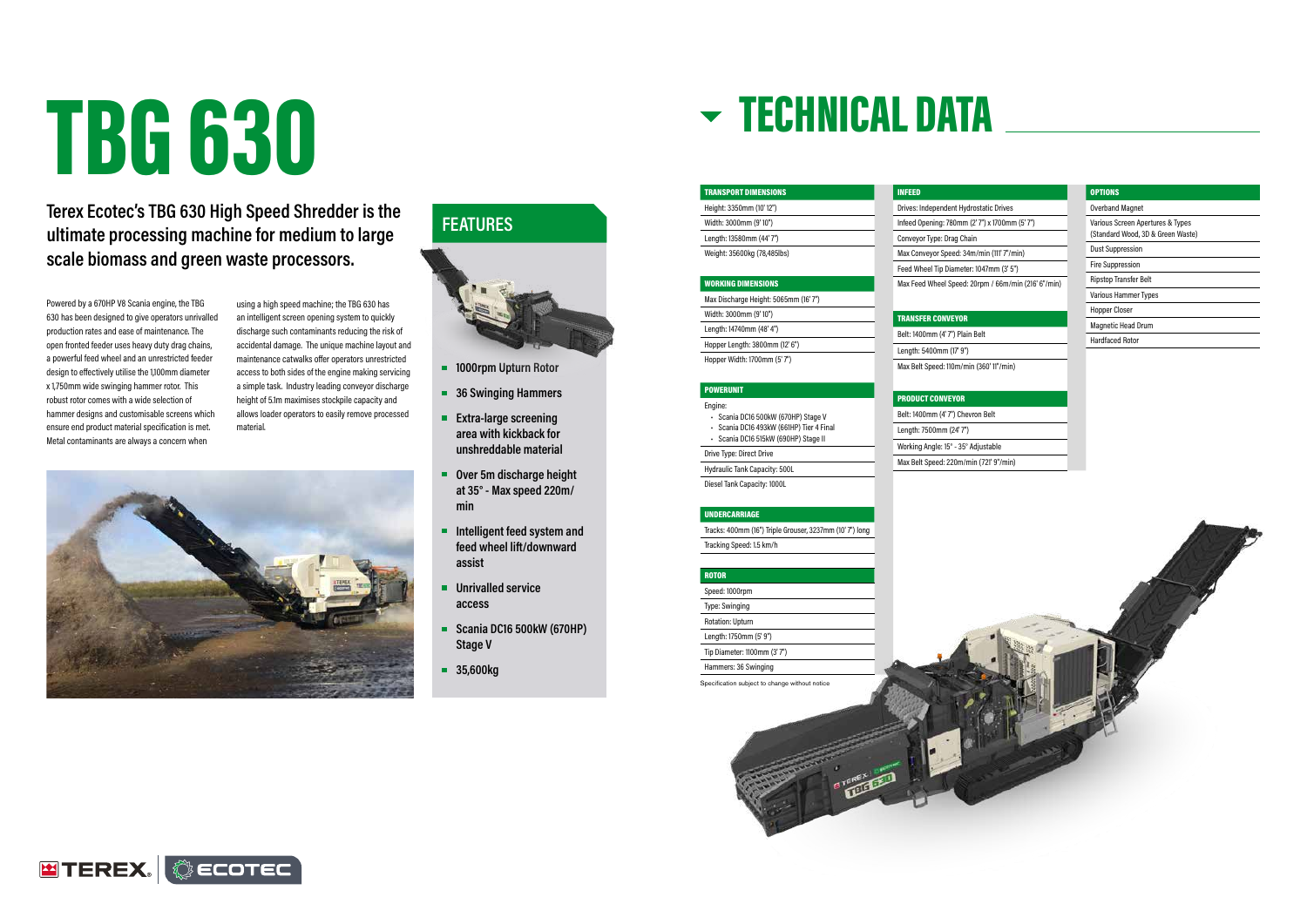# TBG 630

Powered by a 670HP V8 Scania engine, the TBG 630 has been designed to give operators unrivalled production rates and ease of maintenance. The open fronted feeder uses heavy duty drag chains, a powerful feed wheel and an unrestricted feeder design to effectively utilise the 1,100mm diameter x 1,750mm wide swinging hammer rotor. This robust rotor comes with a wide selection of hammer designs and customisable screens which ensure end product material specification is met. Metal contaminants are always a concern when

using a high speed machine; the TBG 630 has an intelligent screen opening system to quickly discharge such contaminants reducing the risk of accidental damage. The unique machine layout and maintenance catwalks offer operators unrestricted access to both sides of the engine making servicing a simple task. Industry leading conveyor discharge height of 5.1m maximises stockpile capacity and allows loader operators to easily remove processed material.



#### **Terex Ecotec's TBG 630 High Speed Shredder is the ultimate processing machine for medium to large scale biomass and green waste processors.**

Specification subject to change without notice

### TECHNICAL DATA

| <b>TRANSPORT DIMENSIONS</b> |  |
|-----------------------------|--|
| Height: 3350mm (10'12")     |  |
| Width: 3000mm (9'10")       |  |
| Length: 13580mm (44'7")     |  |
| Weight: 35600kg (78,485lbs) |  |

#### WORKING DIMENSIONS

Max Discharge Height: 5065mm (16' 7") Width: 3000mm (9' 10") Length: 14740mm (48' 4") Hopper Length: 3800mm (12' 6")

Hopper Width: 1700mm (5' 7")

#### POWERUNIT

Engine: • Scania DC16 500kW (670HP) Stage V

- Scania DC16 493kW (661HP) Tier 4 Final
- Scania DC16 515kW (690HP) Stage II
	-

Drive Type: Direct Drive

Hydraulic Tank Capacity: 500L Diesel Tank Capacity: 1000L

#### UNDERCARRIAGE

Tracks: 400mm (16") Triple Grouser, 3237mm (10' 7") long Tracking Speed: 1.5 km/h

#### ROTOR Speed: 1000rpm

Type: Swinging Rotation: Upturn Length: 1750mm (5' 9") Tip Diameter: 1100mm (3' 7")







#### OPTIONS

| <b>Overband Magnet</b>                                                |
|-----------------------------------------------------------------------|
| Various Screen Apertures & Types<br>(Standard Wood, 3D & Green Waste) |
| <b>Dust Suppression</b>                                               |
| <b>Fire Suppression</b>                                               |
| <b>Ripstop Transfer Belt</b>                                          |
| <b>Various Hammer Types</b>                                           |
| <b>Hopper Closer</b>                                                  |
| <b>Magnetic Head Drum</b>                                             |
| Hardfaced Rotor                                                       |



INFEED

| -------                                |  |
|----------------------------------------|--|
| Drives: Independent Hydrostatic Drives |  |

Infeed Opening: 780mm (2' 7") x 1700mm (5' 7")

Conveyor Type: Drag Chain

Max Conveyor Speed: 34m/min (111' 7"/min)

Feed Wheel Tip Diameter: 1047mm (3' 5")

Max Feed Wheel Speed: 20rpm / 66m/min (216' 6"/min)

TRANSFER CONVEYOR Belt: 1400mm (4' 7") Plain Belt Length: 5400mm (17' 9")

Max Belt Speed: 110m/min (360' 11"/min)

PRODUCT CONVEYOR

Belt: 1400mm (4' 7") Chevron Belt

Length: 7500mm (24' 7")

Working Angle: 15° - 35° Adjustable

Max Belt Speed: 220m/min (721' 9"/min)

#### **FEATURES**



- **1000rpm Upturn Rotor**
- **36 Swinging Hammers**
- **Extra-large screening area with kickback for unshreddable material**
- Over 5m discharge height **at 35° - Max speed 220m/ min**
- **Intelligent feed system and feed wheel lift/downward assist**
- **Unrivalled service access**
- **Scania DC16 500kW (670HP) Stage V**
- **35,600kg**